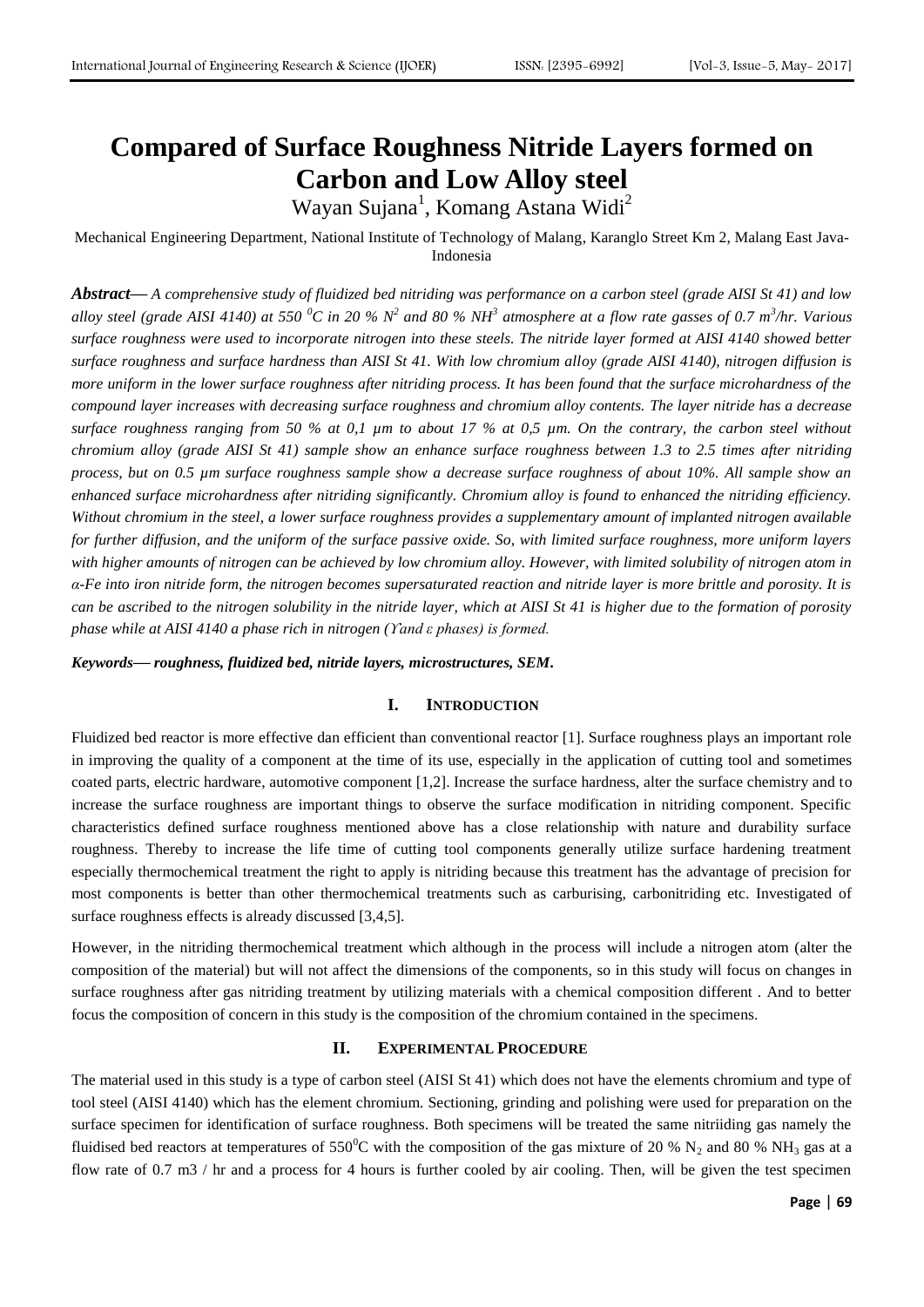# **Compared of Surface Roughness Nitride Layers formed on Carbon and Low Alloy steel**

Wayan Sujana<sup>1</sup>, Komang Astana Widi<sup>2</sup>

Mechanical Engineering Department, National Institute of Technology of Malang, Karanglo Street Km 2, Malang East Java-Indonesia

*Abstract***—** *A comprehensive study of fluidized bed nitriding was performance on a carbon steel (grade AISI St 41) and low*  alloy steel (grade AISI 4140) at 550  $^0C$  in 20 %  $N^2$  and 80 % NH<sup>3</sup> atmosphere at a flow rate gasses of 0.7 m<sup>3</sup>/hr. Various *surface roughness were used to incorporate nitrogen into these steels. The nitride layer formed at AISI 4140 showed better surface roughness and surface hardness than AISI St 41. With low chromium alloy (grade AISI 4140), nitrogen diffusion is more uniform in the lower surface roughness after nitriding process. It has been found that the surface microhardness of the compound layer increases with decreasing surface roughness and chromium alloy contents. The layer nitride has a decrease surface roughness ranging from 50 % at 0,1 µm to about 17 % at 0,5 µm. On the contrary, the carbon steel without chromium alloy (grade AISI St 41) sample show an enhance surface roughness between 1.3 to 2.5 times after nitriding process, but on 0.5 µm surface roughness sample show a decrease surface roughness of about 10%. All sample show an enhanced surface microhardness after nitriding significantly. Chromium alloy is found to enhanced the nitriding efficiency. Without chromium in the steel, a lower surface roughness provides a supplementary amount of implanted nitrogen available for further diffusion, and the uniform of the surface passive oxide. So, with limited surface roughness, more uniform layers*  with higher amounts of nitrogen can be achieved by low chromium alloy. However, with limited solubility of nitrogen atom in *α-Fe into iron nitride form, the nitrogen becomes supersaturated reaction and nitride layer is more brittle and porosity. It is can be ascribed to the nitrogen solubility in the nitride layer, which at AISI St 41 is higher due to the formation of porosity phase while at AISI 4140 a phase rich in nitrogen (ϒand ε phases) is formed.*

*Keywords***—** *roughness, fluidized bed, nitride layers, microstructures, SEM.*

#### **I. INTRODUCTION**

Fluidized bed reactor is more effective dan efficient than conventional reactor [1]. Surface roughness plays an important role in improving the quality of a component at the time of its use, especially in the application of cutting tool and sometimes coated parts, electric hardware, automotive component [1,2]. Increase the surface hardness, alter the surface chemistry and to increase the surface roughness are important things to observe the surface modification in nitriding component. Specific characteristics defined surface roughness mentioned above has a close relationship with nature and durability surface roughness. Thereby to increase the life time of cutting tool components generally utilize surface hardening treatment especially thermochemical treatment the right to apply is nitriding because this treatment has the advantage of precision for most components is better than other thermochemical treatments such as carburising, carbonitriding etc. Investigated of surface roughness effects is already discussed [3,4,5].

However, in the nitriding thermochemical treatment which although in the process will include a nitrogen atom (alter the composition of the material) but will not affect the dimensions of the components, so in this study will focus on changes in surface roughness after gas nitriding treatment by utilizing materials with a chemical composition different . And to better focus the composition of concern in this study is the composition of the chromium contained in the specimens.

#### **II. EXPERIMENTAL PROCEDURE**

The material used in this study is a type of carbon steel (AISI St 41) which does not have the elements chromium and type of tool steel (AISI 4140) which has the element chromium. Sectioning, grinding and polishing were used for preparation on the surface specimen for identification of surface roughness. Both specimens will be treated the same nitriiding gas namely the fluidised bed reactors at temperatures of  $550^{\circ}$ C with the composition of the gas mixture of 20 % N<sub>2</sub> and 80 % NH<sub>3</sub> gas at a flow rate of 0.7 m3 / hr and a process for 4 hours is further cooled by air cooling. Then, will be given the test specimen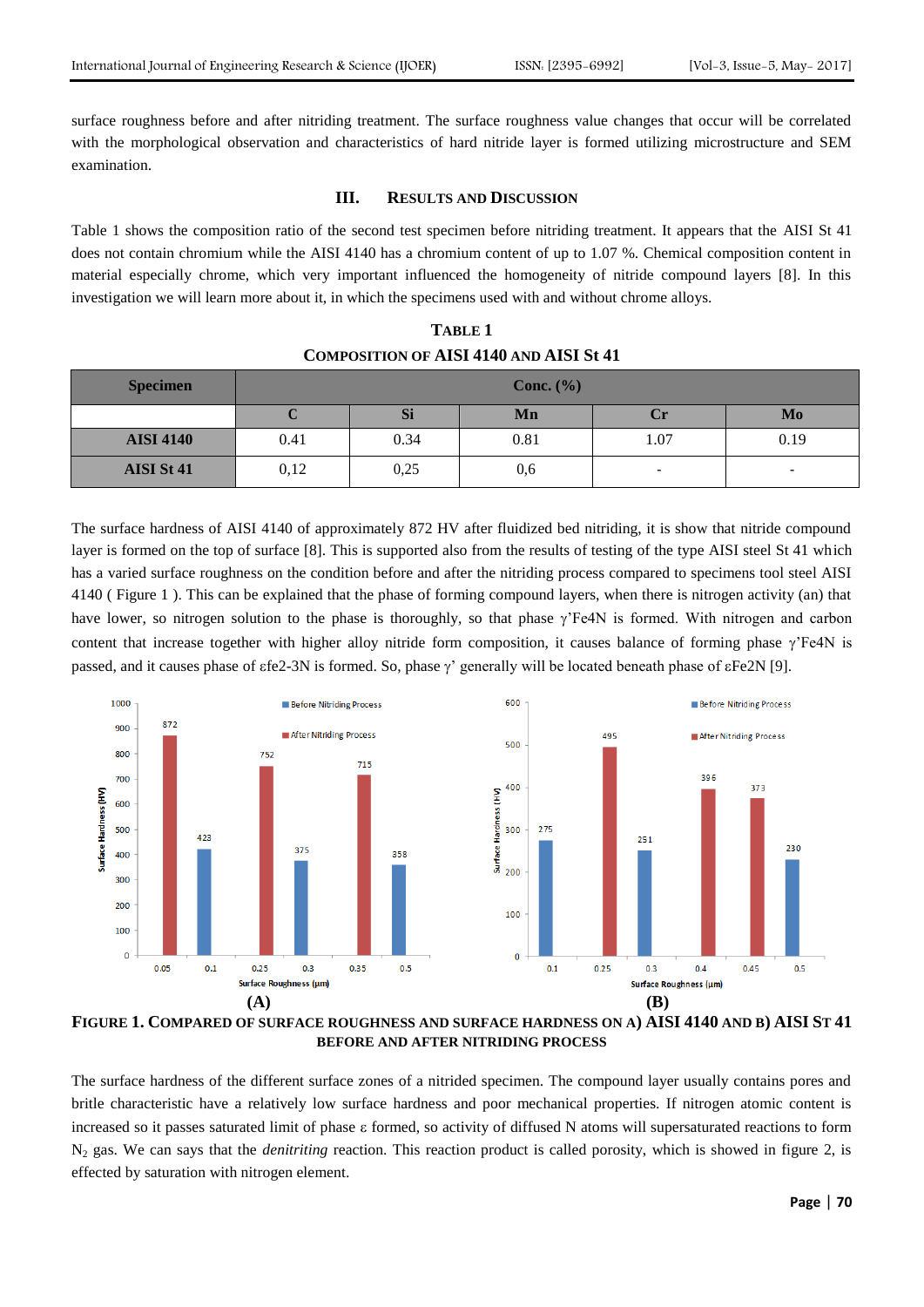surface roughness before and after nitriding treatment. The surface roughness value changes that occur will be correlated with the morphological observation and characteristics of hard nitride layer is formed utilizing microstructure and SEM examination.

## **III. RESULTS AND DISCUSSION**

Table 1 shows the composition ratio of the second test specimen before nitriding treatment. It appears that the AISI St 41 does not contain chromium while the AISI 4140 has a chromium content of up to 1.07 %. Chemical composition content in material especially chrome, which very important influenced the homogeneity of nitride compound layers [8]. In this investigation we will learn more about it, in which the specimens used with and without chrome alloys.

| <b>TABLE 1</b>                                 |
|------------------------------------------------|
| <b>COMPOSITION OF AISI 4140 AND AISI St 41</b> |

| <b>Specimen</b>  | Conc. $(\% )$ |      |      |                          |      |
|------------------|---------------|------|------|--------------------------|------|
|                  | ◡             | Si   | Mn   | <b>C</b> r               | Mo   |
| <b>AISI 4140</b> | 0.41          | 0.34 | 0.81 | 1.07                     | 0.19 |
| AISI St 41       | 0,12          | 0,25 | 0,6  | $\overline{\phantom{0}}$ | -    |

The surface hardness of AISI 4140 of approximately 872 HV after fluidized bed nitriding, it is show that nitride compound layer is formed on the top of surface [8]. This is supported also from the results of testing of the type AISI steel St 41 which has a varied surface roughness on the condition before and after the nitriding process compared to specimens tool steel AISI 4140 ( Figure 1 ). This can be explained that the phase of forming compound layers, when there is nitrogen activity (an) that have lower, so nitrogen solution to the phase is thoroughly, so that phase  $\gamma$  Fe4N is formed. With nitrogen and carbon content that increase together with higher alloy nitride form composition, it causes balance of forming phase  $\gamma$ <sup>T</sup>Fe4N is passed, and it causes phase of  $f\in[2-3N]$  is formed. So, phase  $\gamma'$  generally will be located beneath phase of  $f\in[9]$ .



**FIGURE 1. COMPARED OF SURFACE ROUGHNESS AND SURFACE HARDNESS ON A) AISI 4140 AND B) AISI ST 41 BEFORE AND AFTER NITRIDING PROCESS**

The surface hardness of the different surface zones of a nitrided specimen. The compound layer usually contains pores and britle characteristic have a relatively low surface hardness and poor mechanical properties. If nitrogen atomic content is increased so it passes saturated limit of phase formed, so activity of diffused N atoms will supersaturated reactions to form N<sup>2</sup> gas. We can says that the *denitriting* reaction. This reaction product is called porosity, which is showed in figure 2, is effected by saturation with nitrogen element.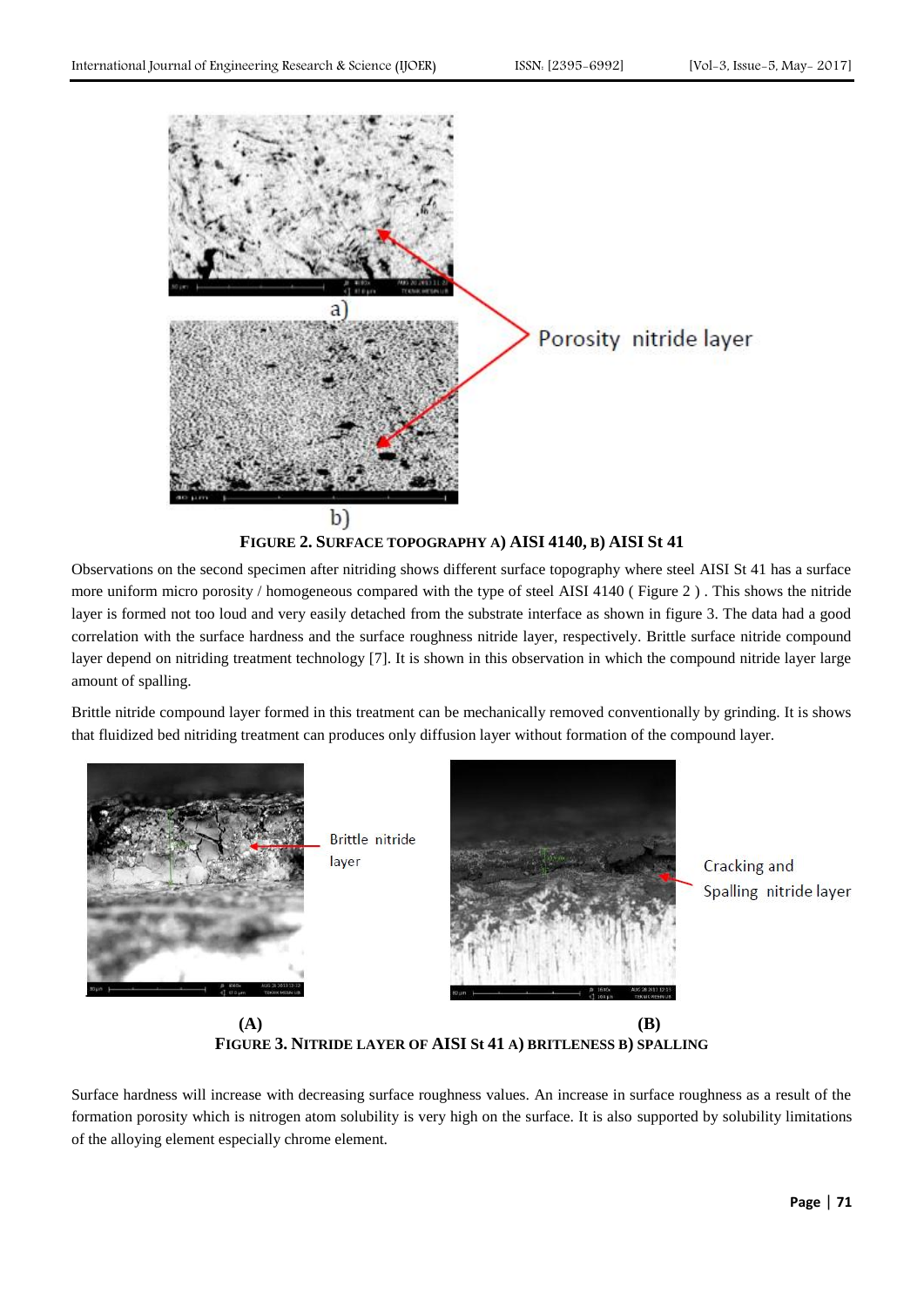

Observations on the second specimen after nitriding shows different surface topography where steel AISI St 41 has a surface more uniform micro porosity / homogeneous compared with the type of steel AISI 4140 ( Figure 2 ) . This shows the nitride layer is formed not too loud and very easily detached from the substrate interface as shown in figure 3. The data had a good correlation with the surface hardness and the surface roughness nitride layer, respectively. Brittle surface nitride compound layer depend on nitriding treatment technology [7]. It is shown in this observation in which the compound nitride layer large amount of spalling.

Brittle nitride compound layer formed in this treatment can be mechanically removed conventionally by grinding. It is shows that fluidized bed nitriding treatment can produces only diffusion layer without formation of the compound layer.



**(A) (B) FIGURE 3. NITRIDE LAYER OF AISI St 41 A) BRITLENESS B) SPALLING**

Surface hardness will increase with decreasing surface roughness values. An increase in surface roughness as a result of the formation porosity which is nitrogen atom solubility is very high on the surface. It is also supported by solubility limitations of the alloying element especially chrome element.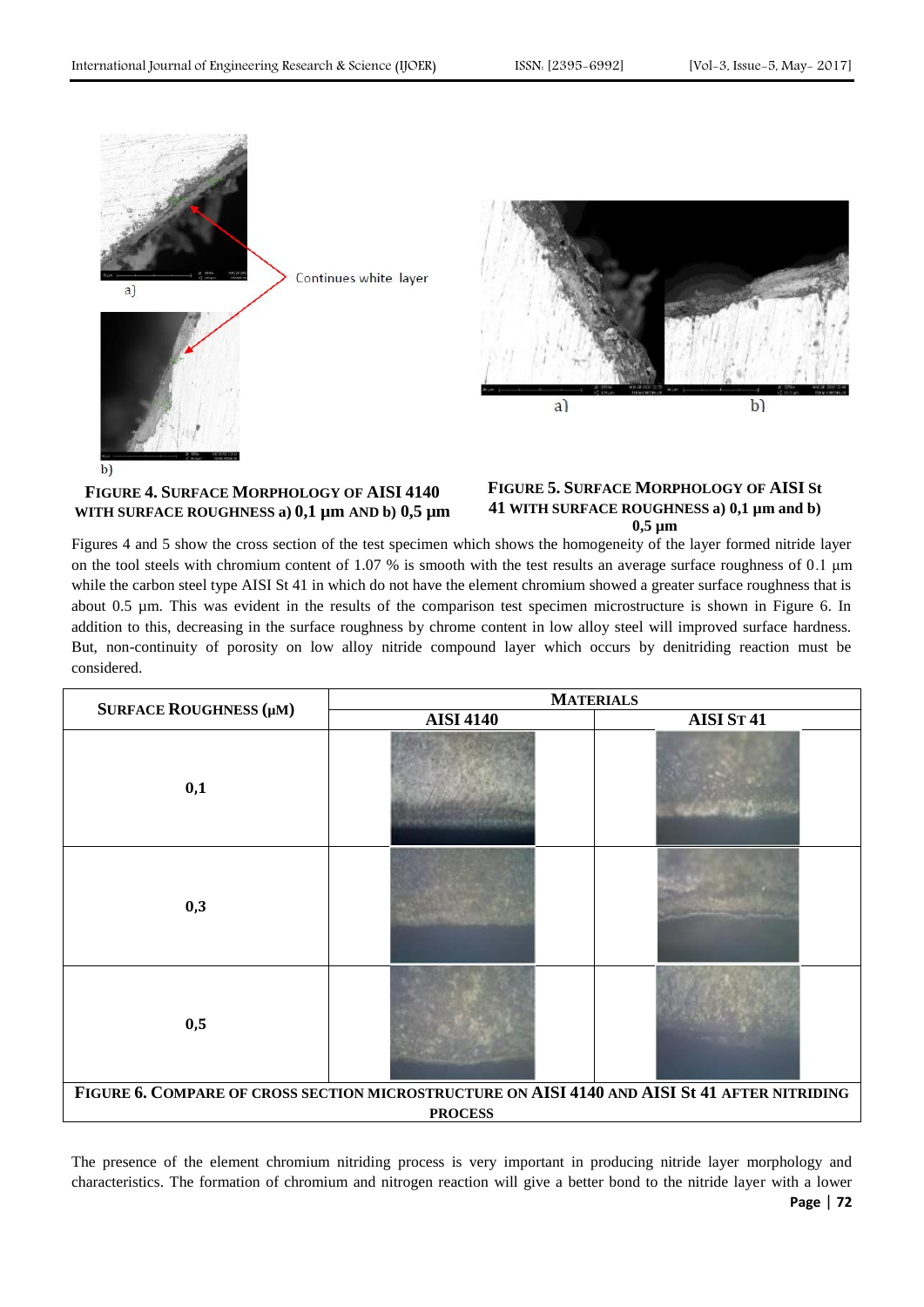

### **FIGURE 4. SURFACE MORPHOLOGY OF AISI 4140 WITH SURFACE ROUGHNESS a) 0,1 µm AND b) 0,5 µm**

### **FIGURE 5. SURFACE MORPHOLOGY OF AISI St 41 WITH SURFACE ROUGHNESS a) 0,1 µm and b) 0,5 µm**

Figures 4 and 5 show the cross section of the test specimen which shows the homogeneity of the layer formed nitride layer on the tool steels with chromium content of 1.07 % is smooth with the test results an average surface roughness of 0.1 μm while the carbon steel type AISI St 41 in which do not have the element chromium showed a greater surface roughness that is about 0.5 µm. This was evident in the results of the comparison test specimen microstructure is shown in Figure 6. In addition to this, decreasing in the surface roughness by chrome content in low alloy steel will improved surface hardness. But, non-continuity of porosity on low alloy nitride compound layer which occurs by denitriding reaction must be considered.

|                                                                                                                 | <b>MATERIALS</b> |                       |  |  |  |
|-----------------------------------------------------------------------------------------------------------------|------------------|-----------------------|--|--|--|
| SURFACE ROUGHNESS (µM)                                                                                          | <b>AISI 4140</b> | AISI ST <sub>41</sub> |  |  |  |
| 0,1                                                                                                             |                  |                       |  |  |  |
| 0,3                                                                                                             |                  |                       |  |  |  |
| 0,5                                                                                                             |                  |                       |  |  |  |
| FIGURE 6. COMPARE OF CROSS SECTION MICROSTRUCTURE ON AISI 4140 AND AISI St 41 AFTER NITRIDING<br><b>PROCESS</b> |                  |                       |  |  |  |

**Page** | **72** The presence of the element chromium nitriding process is very important in producing nitride layer morphology and characteristics. The formation of chromium and nitrogen reaction will give a better bond to the nitride layer with a lower